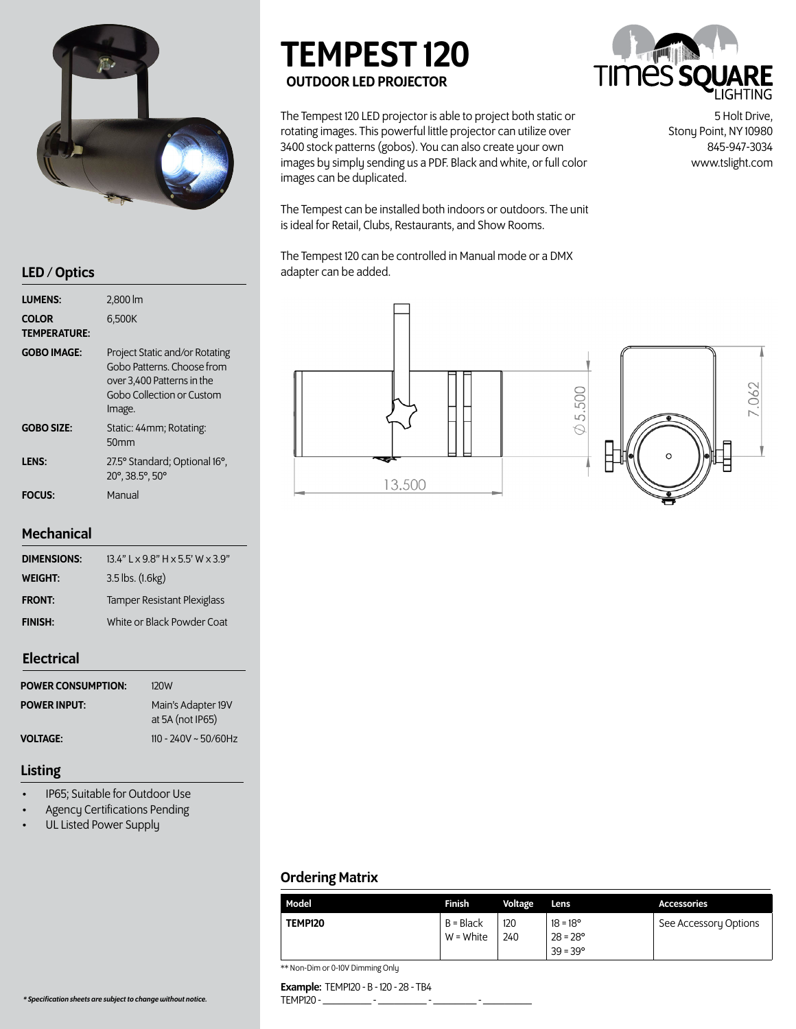

| <b>LUMENS:</b>               | $2,800 \, \text{Im}$                                                                                                              |
|------------------------------|-----------------------------------------------------------------------------------------------------------------------------------|
| COLOR<br><b>TEMPERATURE:</b> | 6,500K                                                                                                                            |
| <b>GOBO IMAGE:</b>           | Project Static and/or Rotating<br>Gobo Patterns, Choose from<br>over 3,400 Patterns in the<br>Gobo Collection or Custom<br>Image. |
| <b>GOBO SIZE:</b>            | Static: 44mm; Rotating:<br>50 <sub>mm</sub>                                                                                       |
| <b>LENS:</b>                 | 27.5° Standard; Optional 16°,<br>20°, 38.5°, 50°                                                                                  |
| <b>FOCUS:</b>                | Manual                                                                                                                            |

### **Mechanical**

| <b>DIMENSIONS:</b> | $13.4"$ L x 9.8" H x 5.5' W x 3.9" |  |  |  |
|--------------------|------------------------------------|--|--|--|
| WEIGHT:            | $3.5$ lbs. $(1.6kg)$               |  |  |  |
| <b>FRONT:</b>      | <b>Tamper Resistant Plexiglass</b> |  |  |  |
| <b>FINISH:</b>     | White or Black Powder Coat         |  |  |  |
|                    |                                    |  |  |  |

# Electrical

| <b>POWER CONSUMPTION:</b> | 120W                                   |
|---------------------------|----------------------------------------|
| <b>POWER INPUT:</b>       | Main's Adapter 19V<br>at 5A (not IP65) |
| VOLTAGE:                  | $110 - 240V \sim 50/60Hz$              |

### Listing

- IP65; Suitable for Outdoor Use
- Agency Certifications Pending
- UL Listed Power Supply

# TEMPEST 120 OUTDOOR LED PROJECTOR

The Tempest 120 LED projector is able to project both static or rotating images. This powerful little projector can utilize over 3400 stock patterns (gobos). You can also create your own images by simply sending us a PDF. Black and white, or full color images can be duplicated.

The Tempest can be installed both indoors or outdoors. The unit is ideal for Retail, Clubs, Restaurants, and Show Rooms.

The Tempest 120 can be controlled in Manual mode or a DMX LED / Optics and adapter can be added.





5 Holt Drive, Stony Point, NY 10980 845-947-3034 www.tslight.com



# Ordering Matrix

| Model   | Finish                 | Voltage    | Lens                                                        | <b>Accessories</b>    |
|---------|------------------------|------------|-------------------------------------------------------------|-----------------------|
| TEMP120 | B = Black<br>W = White | 120<br>240 | $18 = 18^{\circ}$<br>$28 = 28^{\circ}$<br>$39 = 39^{\circ}$ | See Accessory Options |

\*\* Non-Dim or 0-10V Dimming Only

Example: TEMP120 - B - 120 - 28 - TB4